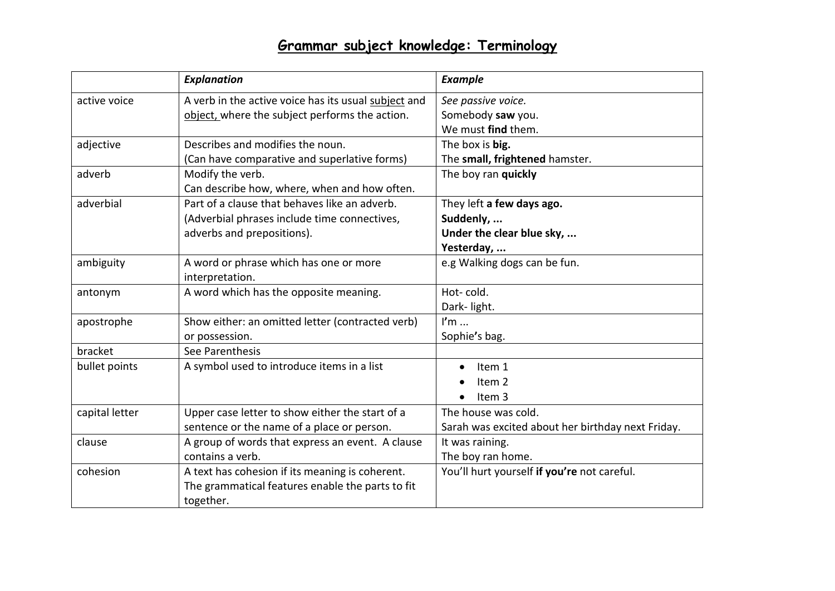|                | <b>Explanation</b>                                   | <b>Example</b>                                    |
|----------------|------------------------------------------------------|---------------------------------------------------|
| active voice   | A verb in the active voice has its usual subject and | See passive voice.                                |
|                | object, where the subject performs the action.       | Somebody saw you.                                 |
|                |                                                      | We must find them.                                |
| adjective      | Describes and modifies the noun.                     | The box is big.                                   |
|                | (Can have comparative and superlative forms)         | The small, frightened hamster.                    |
| adverb         | Modify the verb.                                     | The boy ran quickly                               |
|                | Can describe how, where, when and how often.         |                                                   |
| adverbial      | Part of a clause that behaves like an adverb.        | They left a few days ago.                         |
|                | (Adverbial phrases include time connectives,         | Suddenly,                                         |
|                | adverbs and prepositions).                           | Under the clear blue sky,                         |
|                |                                                      | Yesterday,                                        |
| ambiguity      | A word or phrase which has one or more               | e.g Walking dogs can be fun.                      |
|                | interpretation.                                      |                                                   |
| antonym        | A word which has the opposite meaning.               | Hot-cold.                                         |
|                |                                                      | Dark-light.                                       |
| apostrophe     | Show either: an omitted letter (contracted verb)     | $\mathsf{I}'\mathsf{m}$                           |
|                | or possession.                                       | Sophie's bag.                                     |
| bracket        | See Parenthesis                                      |                                                   |
| bullet points  | A symbol used to introduce items in a list           | Item 1                                            |
|                |                                                      | Item 2                                            |
|                |                                                      | Item 3                                            |
| capital letter | Upper case letter to show either the start of a      | The house was cold.                               |
|                | sentence or the name of a place or person.           | Sarah was excited about her birthday next Friday. |
| clause         | A group of words that express an event. A clause     | It was raining.                                   |
|                | contains a verb.                                     | The boy ran home.                                 |
| cohesion       | A text has cohesion if its meaning is coherent.      | You'll hurt yourself if you're not careful.       |
|                | The grammatical features enable the parts to fit     |                                                   |
|                | together.                                            |                                                   |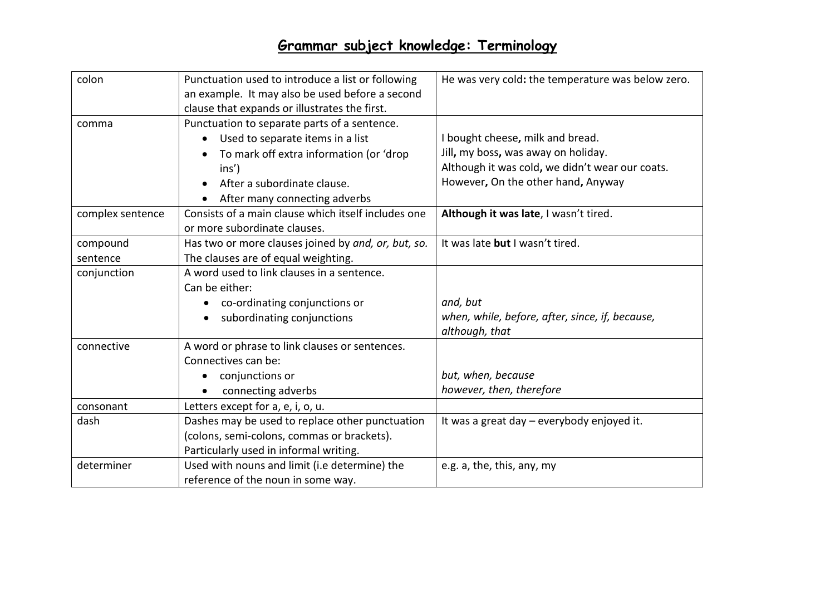| colon            | Punctuation used to introduce a list or following   | He was very cold: the temperature was below zero. |
|------------------|-----------------------------------------------------|---------------------------------------------------|
|                  | an example. It may also be used before a second     |                                                   |
|                  | clause that expands or illustrates the first.       |                                                   |
| comma            | Punctuation to separate parts of a sentence.        |                                                   |
|                  | Used to separate items in a list                    | I bought cheese, milk and bread.                  |
|                  | To mark off extra information (or 'drop             | Jill, my boss, was away on holiday.               |
|                  | $ins'$ )                                            | Although it was cold, we didn't wear our coats.   |
|                  | After a subordinate clause.                         | However, On the other hand, Anyway                |
|                  | After many connecting adverbs                       |                                                   |
| complex sentence | Consists of a main clause which itself includes one | Although it was late, I wasn't tired.             |
|                  | or more subordinate clauses.                        |                                                   |
| compound         | Has two or more clauses joined by and, or, but, so. | It was late but I wasn't tired.                   |
| sentence         | The clauses are of equal weighting.                 |                                                   |
| conjunction      | A word used to link clauses in a sentence.          |                                                   |
|                  | Can be either:                                      |                                                   |
|                  | co-ordinating conjunctions or                       | and, but                                          |
|                  | subordinating conjunctions                          | when, while, before, after, since, if, because,   |
|                  |                                                     | although, that                                    |
| connective       | A word or phrase to link clauses or sentences.      |                                                   |
|                  | Connectives can be:                                 |                                                   |
|                  | conjunctions or                                     | but, when, because                                |
|                  | connecting adverbs                                  | however, then, therefore                          |
| consonant        | Letters except for a, e, i, o, u.                   |                                                   |
| dash             | Dashes may be used to replace other punctuation     | It was a great day – everybody enjoyed it.        |
|                  | (colons, semi-colons, commas or brackets).          |                                                   |
|                  | Particularly used in informal writing.              |                                                   |
| determiner       | Used with nouns and limit (i.e determine) the       | e.g. a, the, this, any, my                        |
|                  | reference of the noun in some way.                  |                                                   |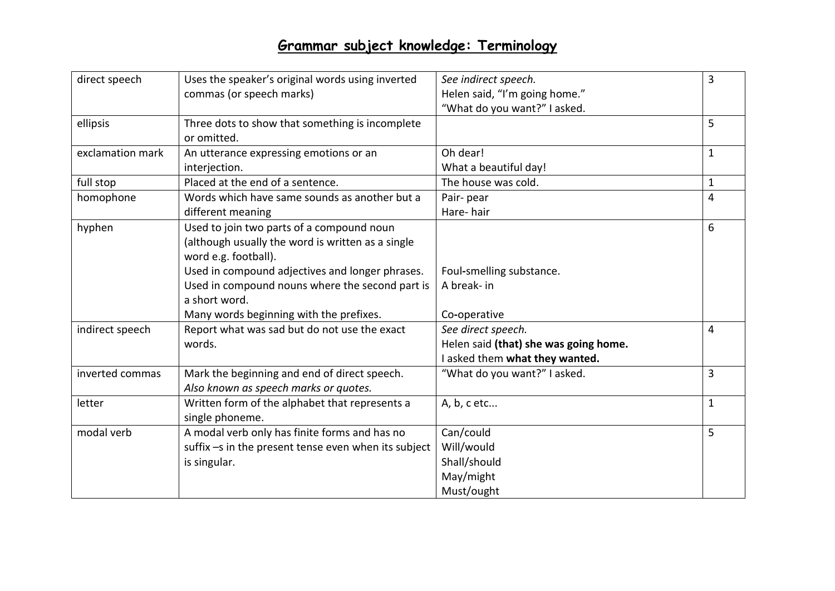| direct speech    | Uses the speaker's original words using inverted     | See indirect speech.                  | 3            |
|------------------|------------------------------------------------------|---------------------------------------|--------------|
|                  | commas (or speech marks)                             | Helen said, "I'm going home."         |              |
|                  |                                                      | "What do you want?" I asked.          |              |
| ellipsis         | Three dots to show that something is incomplete      |                                       | 5            |
|                  | or omitted.                                          |                                       |              |
| exclamation mark | An utterance expressing emotions or an               | Oh dear!                              | 1            |
|                  | interjection.                                        | What a beautiful day!                 |              |
| full stop        | Placed at the end of a sentence.                     | The house was cold.                   | $\mathbf{1}$ |
| homophone        | Words which have same sounds as another but a        | Pair-pear                             | 4            |
|                  | different meaning                                    | Hare-hair                             |              |
| hyphen           | Used to join two parts of a compound noun            |                                       | 6            |
|                  | (although usually the word is written as a single    |                                       |              |
|                  | word e.g. football).                                 |                                       |              |
|                  | Used in compound adjectives and longer phrases.      | Foul-smelling substance.              |              |
|                  | Used in compound nouns where the second part is      | A break- in                           |              |
|                  | a short word.                                        |                                       |              |
|                  | Many words beginning with the prefixes.              | Co-operative                          |              |
| indirect speech  | Report what was sad but do not use the exact         | See direct speech.                    | 4            |
|                  | words.                                               | Helen said (that) she was going home. |              |
|                  |                                                      | I asked them what they wanted.        |              |
| inverted commas  | Mark the beginning and end of direct speech.         | "What do you want?" I asked.          | 3            |
|                  | Also known as speech marks or quotes.                |                                       |              |
| letter           | Written form of the alphabet that represents a       | A, b, c etc                           | $\mathbf{1}$ |
|                  | single phoneme.                                      |                                       |              |
| modal verb       | A modal verb only has finite forms and has no        | Can/could                             | 5            |
|                  | suffix -s in the present tense even when its subject | Will/would                            |              |
|                  | is singular.                                         | Shall/should                          |              |
|                  |                                                      | May/might                             |              |
|                  |                                                      | Must/ought                            |              |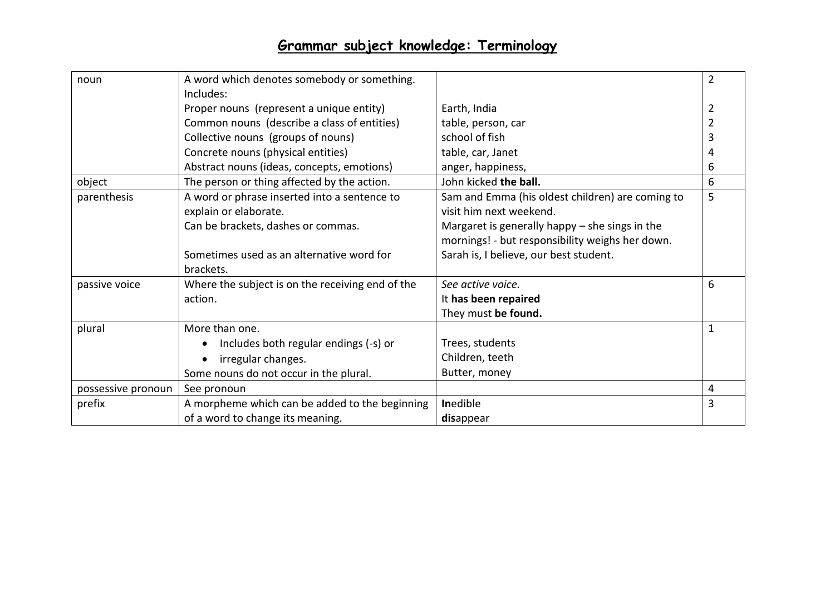| noun               | A word which denotes somebody or something.      |                                                  | $\overline{2}$ |
|--------------------|--------------------------------------------------|--------------------------------------------------|----------------|
|                    | Includes:                                        |                                                  |                |
|                    | Proper nouns (represent a unique entity)         | Earth, India                                     | 2              |
|                    | Common nouns (describe a class of entities)      | table, person, car                               |                |
|                    | Collective nouns (groups of nouns)               | school of fish                                   |                |
|                    | Concrete nouns (physical entities)               | table, car, Janet                                |                |
|                    | Abstract nouns (ideas, concepts, emotions)       | anger, happiness,                                | 6              |
| object             | The person or thing affected by the action.      | John kicked the ball.                            | 6              |
| parenthesis        | A word or phrase inserted into a sentence to     | Sam and Emma (his oldest children) are coming to | 5              |
|                    | explain or elaborate.                            | visit him next weekend.                          |                |
|                    | Can be brackets, dashes or commas.               | Margaret is generally happy $-$ she sings in the |                |
|                    |                                                  | mornings! - but responsibility weighs her down.  |                |
|                    | Sometimes used as an alternative word for        | Sarah is, I believe, our best student.           |                |
|                    | brackets.                                        |                                                  |                |
| passive voice      | Where the subject is on the receiving end of the | See active voice.                                | 6              |
|                    | action.                                          | It has been repaired                             |                |
|                    |                                                  | They must be found.                              |                |
| plural             | More than one.                                   |                                                  | $\mathbf{1}$   |
|                    | Includes both regular endings (-s) or            | Trees, students                                  |                |
|                    | irregular changes.                               | Children, teeth                                  |                |
|                    | Some nouns do not occur in the plural.           | Butter, money                                    |                |
| possessive pronoun | See pronoun                                      |                                                  | 4              |
| prefix             | A morpheme which can be added to the beginning   | Inedible                                         | 3              |
|                    | of a word to change its meaning.                 | disappear                                        |                |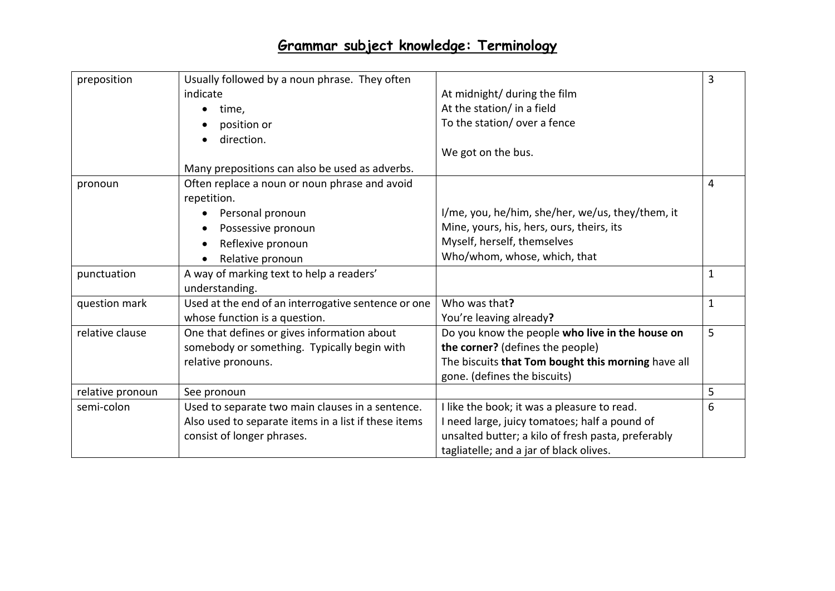| preposition      | Usually followed by a noun phrase. They often        |                                                    | 3            |
|------------------|------------------------------------------------------|----------------------------------------------------|--------------|
|                  | indicate                                             | At midnight/ during the film                       |              |
|                  | time,                                                | At the station/ in a field                         |              |
|                  | position or                                          | To the station/ over a fence                       |              |
|                  | direction.                                           |                                                    |              |
|                  |                                                      | We got on the bus.                                 |              |
|                  | Many prepositions can also be used as adverbs.       |                                                    |              |
| pronoun          | Often replace a noun or noun phrase and avoid        |                                                    | 4            |
|                  | repetition.                                          |                                                    |              |
|                  | Personal pronoun                                     | I/me, you, he/him, she/her, we/us, they/them, it   |              |
|                  | Possessive pronoun                                   | Mine, yours, his, hers, ours, theirs, its          |              |
|                  | Reflexive pronoun                                    | Myself, herself, themselves                        |              |
|                  | Relative pronoun                                     | Who/whom, whose, which, that                       |              |
| punctuation      | A way of marking text to help a readers'             |                                                    | $\mathbf 1$  |
|                  | understanding.                                       |                                                    |              |
| question mark    | Used at the end of an interrogative sentence or one  | Who was that?                                      | $\mathbf{1}$ |
|                  | whose function is a question.                        | You're leaving already?                            |              |
| relative clause  | One that defines or gives information about          | Do you know the people who live in the house on    | 5            |
|                  | somebody or something. Typically begin with          | the corner? (defines the people)                   |              |
|                  | relative pronouns.                                   | The biscuits that Tom bought this morning have all |              |
|                  |                                                      | gone. (defines the biscuits)                       |              |
| relative pronoun | See pronoun                                          |                                                    | 5            |
| semi-colon       | Used to separate two main clauses in a sentence.     | I like the book; it was a pleasure to read.        | 6            |
|                  | Also used to separate items in a list if these items | I need large, juicy tomatoes; half a pound of      |              |
|                  | consist of longer phrases.                           | unsalted butter; a kilo of fresh pasta, preferably |              |
|                  |                                                      | tagliatelle; and a jar of black olives.            |              |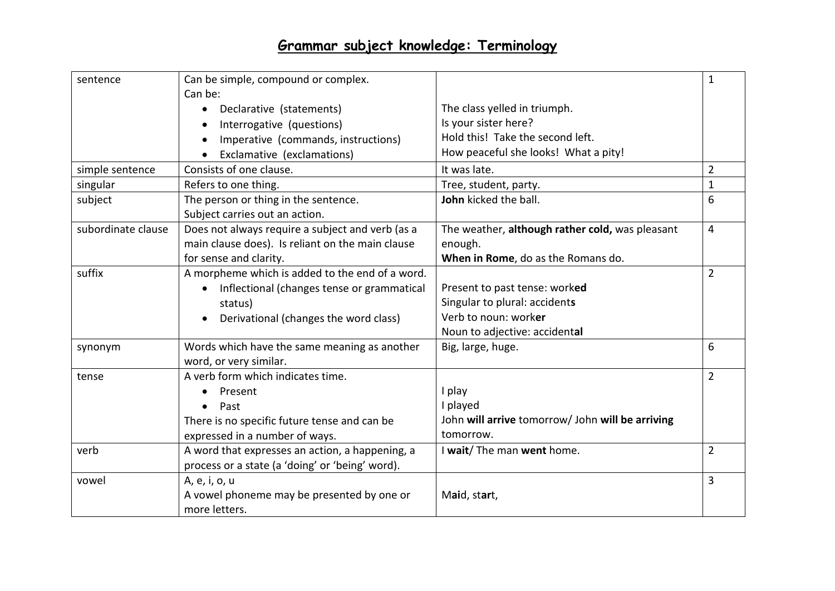| sentence           | Can be simple, compound or complex.<br>Can be:   |                                                  | $\mathbf{1}$   |
|--------------------|--------------------------------------------------|--------------------------------------------------|----------------|
|                    | Declarative (statements)<br>$\bullet$            | The class yelled in triumph.                     |                |
|                    | Interrogative (questions)                        | Is your sister here?                             |                |
|                    | Imperative (commands, instructions)              | Hold this! Take the second left.                 |                |
|                    | Exclamative (exclamations)                       | How peaceful she looks! What a pity!             |                |
| simple sentence    | Consists of one clause.                          | It was late.                                     | $\overline{2}$ |
| singular           | Refers to one thing.                             | Tree, student, party.                            | $\mathbf{1}$   |
| subject            | The person or thing in the sentence.             | John kicked the ball.                            | 6              |
|                    | Subject carries out an action.                   |                                                  |                |
| subordinate clause | Does not always require a subject and verb (as a | The weather, although rather cold, was pleasant  | 4              |
|                    | main clause does). Is reliant on the main clause | enough.                                          |                |
|                    | for sense and clarity.                           | When in Rome, do as the Romans do.               |                |
| suffix             | A morpheme which is added to the end of a word.  |                                                  | $\overline{2}$ |
|                    | Inflectional (changes tense or grammatical       | Present to past tense: worked                    |                |
|                    | status)                                          | Singular to plural: accidents                    |                |
|                    | Derivational (changes the word class)            | Verb to noun: worker                             |                |
|                    |                                                  | Noun to adjective: accidental                    |                |
| synonym            | Words which have the same meaning as another     | Big, large, huge.                                | 6              |
|                    | word, or very similar.                           |                                                  |                |
| tense              | A verb form which indicates time.                |                                                  | $\overline{2}$ |
|                    | Present<br>$\bullet$                             | I play                                           |                |
|                    | Past                                             | I played                                         |                |
|                    | There is no specific future tense and can be     | John will arrive tomorrow/ John will be arriving |                |
|                    | expressed in a number of ways.                   | tomorrow.                                        |                |
| verb               | A word that expresses an action, a happening, a  | I wait/ The man went home.                       | $\overline{2}$ |
|                    | process or a state (a 'doing' or 'being' word).  |                                                  |                |
| vowel              | A, e, i, o, u                                    |                                                  | 3              |
|                    | A vowel phoneme may be presented by one or       | Maid, start,                                     |                |
|                    | more letters.                                    |                                                  |                |